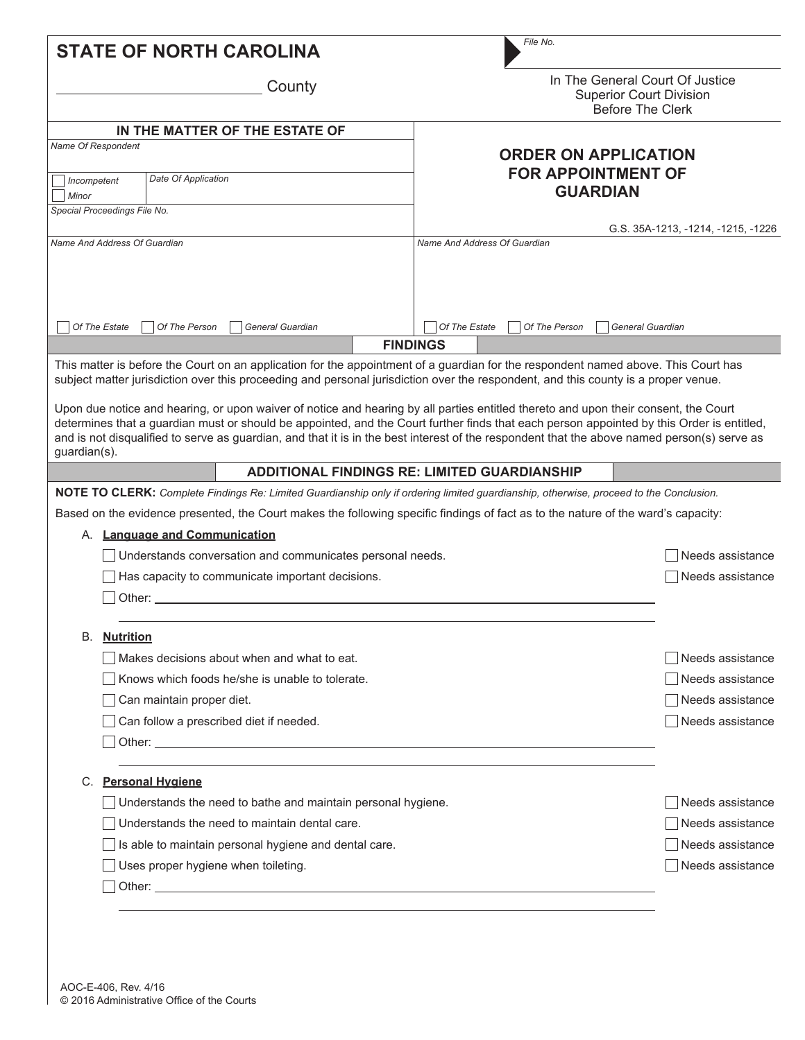|                                                                                                                                                                                                                                                                                                                                                                                                                                                                                                                                                                                                                                                                                                                             |                                                                                                               | <b>STATE OF NORTH CAROLINA</b>                                                                                                         | File No.                                                                                     |                  |  |  |
|-----------------------------------------------------------------------------------------------------------------------------------------------------------------------------------------------------------------------------------------------------------------------------------------------------------------------------------------------------------------------------------------------------------------------------------------------------------------------------------------------------------------------------------------------------------------------------------------------------------------------------------------------------------------------------------------------------------------------------|---------------------------------------------------------------------------------------------------------------|----------------------------------------------------------------------------------------------------------------------------------------|----------------------------------------------------------------------------------------------|------------------|--|--|
| County                                                                                                                                                                                                                                                                                                                                                                                                                                                                                                                                                                                                                                                                                                                      |                                                                                                               |                                                                                                                                        | In The General Court Of Justice<br><b>Superior Court Division</b><br><b>Before The Clerk</b> |                  |  |  |
|                                                                                                                                                                                                                                                                                                                                                                                                                                                                                                                                                                                                                                                                                                                             |                                                                                                               | IN THE MATTER OF THE ESTATE OF                                                                                                         |                                                                                              |                  |  |  |
|                                                                                                                                                                                                                                                                                                                                                                                                                                                                                                                                                                                                                                                                                                                             | Name Of Respondent                                                                                            |                                                                                                                                        | <b>ORDER ON APPLICATION</b>                                                                  |                  |  |  |
| Date Of Application                                                                                                                                                                                                                                                                                                                                                                                                                                                                                                                                                                                                                                                                                                         |                                                                                                               |                                                                                                                                        | <b>FOR APPOINTMENT OF</b>                                                                    |                  |  |  |
| Incompetent<br>Minor                                                                                                                                                                                                                                                                                                                                                                                                                                                                                                                                                                                                                                                                                                        |                                                                                                               |                                                                                                                                        | <b>GUARDIAN</b>                                                                              |                  |  |  |
| Special Proceedings File No.                                                                                                                                                                                                                                                                                                                                                                                                                                                                                                                                                                                                                                                                                                |                                                                                                               |                                                                                                                                        |                                                                                              |                  |  |  |
|                                                                                                                                                                                                                                                                                                                                                                                                                                                                                                                                                                                                                                                                                                                             | Name And Address Of Guardian                                                                                  |                                                                                                                                        | G.S. 35A-1213, -1214, -1215, -1226<br>Name And Address Of Guardian                           |                  |  |  |
|                                                                                                                                                                                                                                                                                                                                                                                                                                                                                                                                                                                                                                                                                                                             |                                                                                                               |                                                                                                                                        |                                                                                              |                  |  |  |
|                                                                                                                                                                                                                                                                                                                                                                                                                                                                                                                                                                                                                                                                                                                             | Of The Estate                                                                                                 | Of The Person<br>General Guardian                                                                                                      | Of The Estate<br>Of The Person<br>General Guardian                                           |                  |  |  |
|                                                                                                                                                                                                                                                                                                                                                                                                                                                                                                                                                                                                                                                                                                                             |                                                                                                               |                                                                                                                                        | <b>FINDINGS</b>                                                                              |                  |  |  |
| This matter is before the Court on an application for the appointment of a guardian for the respondent named above. This Court has<br>subject matter jurisdiction over this proceeding and personal jurisdiction over the respondent, and this county is a proper venue.<br>Upon due notice and hearing, or upon waiver of notice and hearing by all parties entitled thereto and upon their consent, the Court<br>determines that a guardian must or should be appointed, and the Court further finds that each person appointed by this Order is entitled,<br>and is not disqualified to serve as guardian, and that it is in the best interest of the respondent that the above named person(s) serve as<br>guardian(s). |                                                                                                               |                                                                                                                                        |                                                                                              |                  |  |  |
|                                                                                                                                                                                                                                                                                                                                                                                                                                                                                                                                                                                                                                                                                                                             |                                                                                                               |                                                                                                                                        | <b>ADDITIONAL FINDINGS RE: LIMITED GUARDIANSHIP</b>                                          |                  |  |  |
|                                                                                                                                                                                                                                                                                                                                                                                                                                                                                                                                                                                                                                                                                                                             |                                                                                                               | NOTE TO CLERK: Complete Findings Re: Limited Guardianship only if ordering limited guardianship, otherwise, proceed to the Conclusion. |                                                                                              |                  |  |  |
|                                                                                                                                                                                                                                                                                                                                                                                                                                                                                                                                                                                                                                                                                                                             |                                                                                                               | Based on the evidence presented, the Court makes the following specific findings of fact as to the nature of the ward's capacity:      |                                                                                              |                  |  |  |
|                                                                                                                                                                                                                                                                                                                                                                                                                                                                                                                                                                                                                                                                                                                             |                                                                                                               | A. Language and Communication                                                                                                          |                                                                                              |                  |  |  |
|                                                                                                                                                                                                                                                                                                                                                                                                                                                                                                                                                                                                                                                                                                                             |                                                                                                               | Understands conversation and communicates personal needs.                                                                              |                                                                                              | Needs assistance |  |  |
|                                                                                                                                                                                                                                                                                                                                                                                                                                                                                                                                                                                                                                                                                                                             |                                                                                                               | Has capacity to communicate important decisions.                                                                                       |                                                                                              | Needs assistance |  |  |
|                                                                                                                                                                                                                                                                                                                                                                                                                                                                                                                                                                                                                                                                                                                             | Other:                                                                                                        |                                                                                                                                        |                                                                                              |                  |  |  |
|                                                                                                                                                                                                                                                                                                                                                                                                                                                                                                                                                                                                                                                                                                                             |                                                                                                               |                                                                                                                                        |                                                                                              |                  |  |  |
| В.                                                                                                                                                                                                                                                                                                                                                                                                                                                                                                                                                                                                                                                                                                                          | <u>Nutrition</u>                                                                                              | Makes decisions about when and what to eat.                                                                                            |                                                                                              |                  |  |  |
|                                                                                                                                                                                                                                                                                                                                                                                                                                                                                                                                                                                                                                                                                                                             |                                                                                                               | Needs assistance                                                                                                                       |                                                                                              |                  |  |  |
|                                                                                                                                                                                                                                                                                                                                                                                                                                                                                                                                                                                                                                                                                                                             |                                                                                                               | Knows which foods he/she is unable to tolerate.                                                                                        |                                                                                              | Needs assistance |  |  |
|                                                                                                                                                                                                                                                                                                                                                                                                                                                                                                                                                                                                                                                                                                                             |                                                                                                               | Can maintain proper diet.                                                                                                              |                                                                                              | Needs assistance |  |  |
|                                                                                                                                                                                                                                                                                                                                                                                                                                                                                                                                                                                                                                                                                                                             |                                                                                                               | Can follow a prescribed diet if needed.                                                                                                |                                                                                              | Needs assistance |  |  |
|                                                                                                                                                                                                                                                                                                                                                                                                                                                                                                                                                                                                                                                                                                                             |                                                                                                               |                                                                                                                                        |                                                                                              |                  |  |  |
|                                                                                                                                                                                                                                                                                                                                                                                                                                                                                                                                                                                                                                                                                                                             |                                                                                                               | C. Personal Hygiene                                                                                                                    |                                                                                              |                  |  |  |
|                                                                                                                                                                                                                                                                                                                                                                                                                                                                                                                                                                                                                                                                                                                             |                                                                                                               | Needs assistance                                                                                                                       |                                                                                              |                  |  |  |
|                                                                                                                                                                                                                                                                                                                                                                                                                                                                                                                                                                                                                                                                                                                             | Understands the need to bathe and maintain personal hygiene.<br>Understands the need to maintain dental care. |                                                                                                                                        |                                                                                              | Needs assistance |  |  |
|                                                                                                                                                                                                                                                                                                                                                                                                                                                                                                                                                                                                                                                                                                                             | Is able to maintain personal hygiene and dental care.                                                         |                                                                                                                                        |                                                                                              | Needs assistance |  |  |
|                                                                                                                                                                                                                                                                                                                                                                                                                                                                                                                                                                                                                                                                                                                             |                                                                                                               | Uses proper hygiene when toileting.                                                                                                    |                                                                                              | Needs assistance |  |  |
|                                                                                                                                                                                                                                                                                                                                                                                                                                                                                                                                                                                                                                                                                                                             |                                                                                                               |                                                                                                                                        |                                                                                              |                  |  |  |
|                                                                                                                                                                                                                                                                                                                                                                                                                                                                                                                                                                                                                                                                                                                             |                                                                                                               |                                                                                                                                        |                                                                                              |                  |  |  |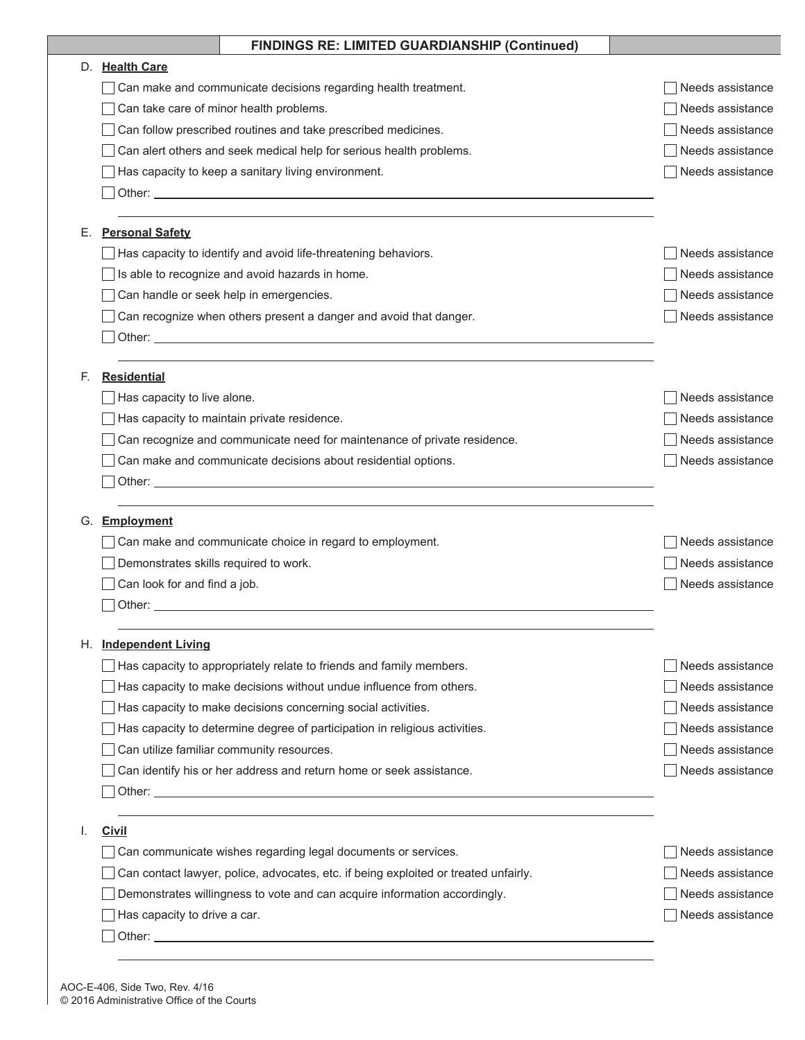|    | <b>FINDINGS RE: LIMITED GUARDIANSHIP (Continued)</b>                                                                                                                                                                                                                                                  |                                      |
|----|-------------------------------------------------------------------------------------------------------------------------------------------------------------------------------------------------------------------------------------------------------------------------------------------------------|--------------------------------------|
| D. | <b>Health Care</b>                                                                                                                                                                                                                                                                                    |                                      |
|    | Can make and communicate decisions regarding health treatment.                                                                                                                                                                                                                                        | Needs assistance                     |
|    | Can take care of minor health problems.                                                                                                                                                                                                                                                               | Needs assistance                     |
|    | Can follow prescribed routines and take prescribed medicines.                                                                                                                                                                                                                                         | Needs assistance                     |
|    | Can alert others and seek medical help for serious health problems.                                                                                                                                                                                                                                   | Needs assistance                     |
|    | Has capacity to keep a sanitary living environment.                                                                                                                                                                                                                                                   | Needs assistance                     |
|    |                                                                                                                                                                                                                                                                                                       |                                      |
| Е. | <b>Personal Safety</b>                                                                                                                                                                                                                                                                                |                                      |
|    | Has capacity to identify and avoid life-threatening behaviors.                                                                                                                                                                                                                                        | Needs assistance                     |
|    | Is able to recognize and avoid hazards in home.                                                                                                                                                                                                                                                       | Needs assistance                     |
|    | Can handle or seek help in emergencies.                                                                                                                                                                                                                                                               | Needs assistance                     |
|    | Can recognize when others present a danger and avoid that danger.                                                                                                                                                                                                                                     | Needs assistance                     |
|    |                                                                                                                                                                                                                                                                                                       |                                      |
|    |                                                                                                                                                                                                                                                                                                       |                                      |
| F. | <b>Residential</b>                                                                                                                                                                                                                                                                                    |                                      |
|    | Has capacity to live alone.                                                                                                                                                                                                                                                                           | Needs assistance                     |
|    | Has capacity to maintain private residence.                                                                                                                                                                                                                                                           | Needs assistance                     |
|    | Can recognize and communicate need for maintenance of private residence.                                                                                                                                                                                                                              | Needs assistance                     |
|    | Can make and communicate decisions about residential options.                                                                                                                                                                                                                                         | Needs assistance                     |
|    |                                                                                                                                                                                                                                                                                                       |                                      |
| G. | Employment                                                                                                                                                                                                                                                                                            |                                      |
|    | Can make and communicate choice in regard to employment.                                                                                                                                                                                                                                              | Needs assistance                     |
|    | Demonstrates skills required to work.                                                                                                                                                                                                                                                                 | Needs assistance                     |
|    | Can look for and find a job.                                                                                                                                                                                                                                                                          | Needs assistance                     |
|    | Other: when the contract of the contract of the contract of the contract of the contract of the contract of the contract of the contract of the contract of the contract of the contract of the contract of the contract of th                                                                        |                                      |
| Η. | <b>Independent Living</b>                                                                                                                                                                                                                                                                             |                                      |
|    | Has capacity to appropriately relate to friends and family members.                                                                                                                                                                                                                                   | Needs assistance                     |
|    | Has capacity to make decisions without undue influence from others.                                                                                                                                                                                                                                   | Needs assistance                     |
|    |                                                                                                                                                                                                                                                                                                       |                                      |
|    |                                                                                                                                                                                                                                                                                                       |                                      |
|    | Has capacity to make decisions concerning social activities.                                                                                                                                                                                                                                          | Needs assistance<br>Needs assistance |
|    | Has capacity to determine degree of participation in religious activities.                                                                                                                                                                                                                            |                                      |
|    | Can utilize familiar community resources.                                                                                                                                                                                                                                                             | Needs assistance                     |
|    | Can identify his or her address and return home or seek assistance.<br>Other: experience of the contract of the contract of the contract of the contract of the contract of the contract of the contract of the contract of the contract of the contract of the contract of the contract of the contr | Needs assistance                     |
|    |                                                                                                                                                                                                                                                                                                       |                                      |
| I. | <b>Civil</b>                                                                                                                                                                                                                                                                                          |                                      |
|    | Can communicate wishes regarding legal documents or services.                                                                                                                                                                                                                                         | Needs assistance                     |
|    | Can contact lawyer, police, advocates, etc. if being exploited or treated unfairly.                                                                                                                                                                                                                   | Needs assistance                     |
|    | Demonstrates willingness to vote and can acquire information accordingly.<br>Has capacity to drive a car.                                                                                                                                                                                             | Needs assistance<br>Needs assistance |